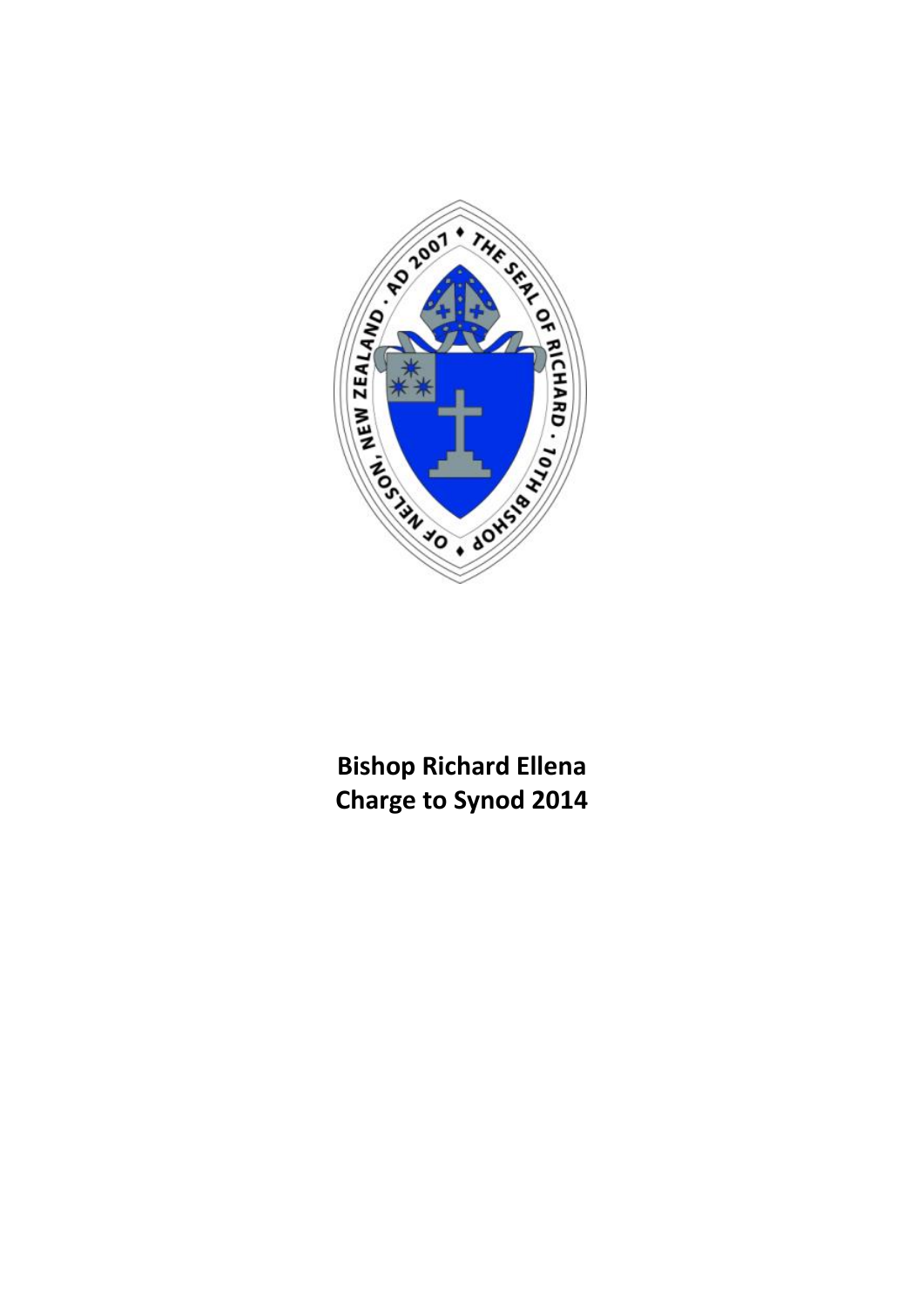

**Bishop Richard Ellena Charge to Synod 2014**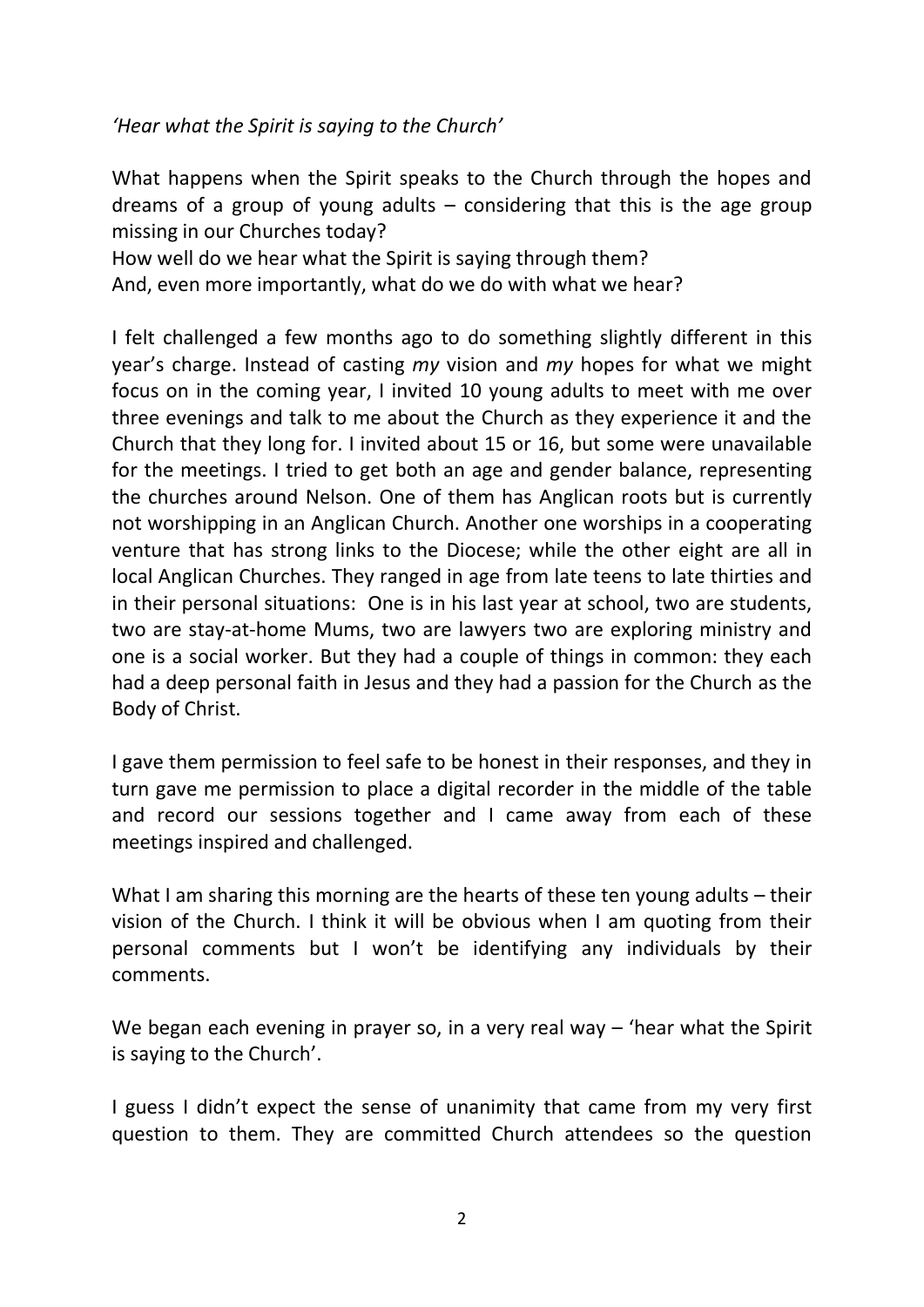*'Hear what the Spirit is saying to the Church'*

What happens when the Spirit speaks to the Church through the hopes and dreams of a group of young adults  $-$  considering that this is the age group missing in our Churches today?

How well do we hear what the Spirit is saying through them? And, even more importantly, what do we do with what we hear?

I felt challenged a few months ago to do something slightly different in this year's charge. Instead of casting *my* vision and *my* hopes for what we might focus on in the coming year, I invited 10 young adults to meet with me over three evenings and talk to me about the Church as they experience it and the Church that they long for. I invited about 15 or 16, but some were unavailable for the meetings. I tried to get both an age and gender balance, representing the churches around Nelson. One of them has Anglican roots but is currently not worshipping in an Anglican Church. Another one worships in a cooperating venture that has strong links to the Diocese; while the other eight are all in local Anglican Churches. They ranged in age from late teens to late thirties and in their personal situations: One is in his last year at school, two are students, two are stay-at-home Mums, two are lawyers two are exploring ministry and one is a social worker. But they had a couple of things in common: they each had a deep personal faith in Jesus and they had a passion for the Church as the Body of Christ.

I gave them permission to feel safe to be honest in their responses, and they in turn gave me permission to place a digital recorder in the middle of the table and record our sessions together and I came away from each of these meetings inspired and challenged.

What I am sharing this morning are the hearts of these ten young adults – their vision of the Church. I think it will be obvious when I am quoting from their personal comments but I won't be identifying any individuals by their comments.

We began each evening in prayer so, in a very real way  $-$  'hear what the Spirit is saying to the Church'.

I guess I didn't expect the sense of unanimity that came from my very first question to them. They are committed Church attendees so the question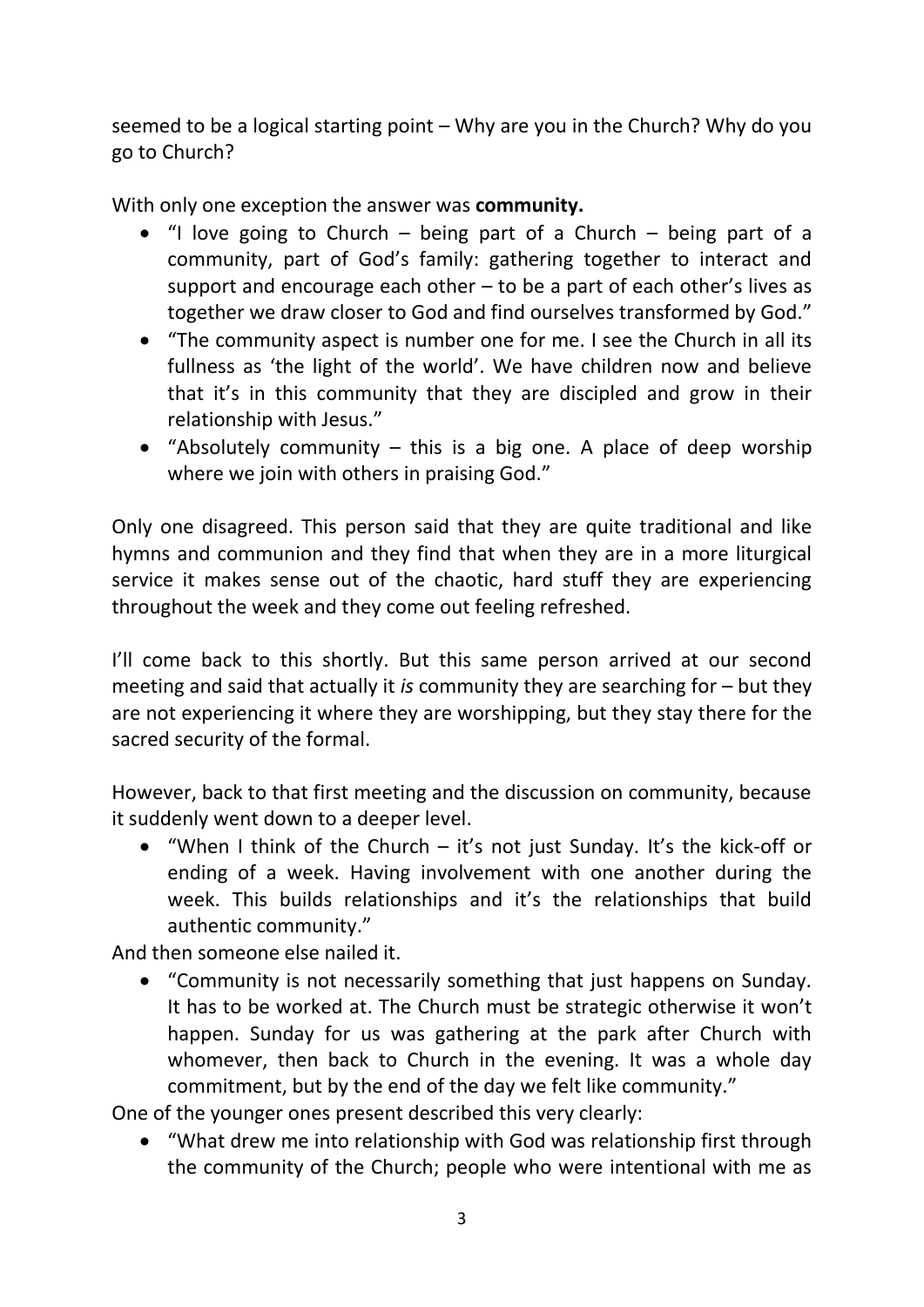seemed to be a logical starting point – Why are you in the Church? Why do you go to Church?

With only one exception the answer was **community.**

- $\bullet$  "I love going to Church being part of a Church being part of a community, part of God's family: gathering together to interact and support and encourage each other – to be a part of each other's lives as together we draw closer to God and find ourselves transformed by God."
- "The community aspect is number one for me. I see the Church in all its fullness as 'the light of the world'. We have children now and believe that it's in this community that they are discipled and grow in their relationship with Jesus."
- "Absolutely community  $-$  this is a big one. A place of deep worship where we join with others in praising God."

Only one disagreed. This person said that they are quite traditional and like hymns and communion and they find that when they are in a more liturgical service it makes sense out of the chaotic, hard stuff they are experiencing throughout the week and they come out feeling refreshed.

I'll come back to this shortly. But this same person arrived at our second meeting and said that actually it *is* community they are searching for – but they are not experiencing it where they are worshipping, but they stay there for the sacred security of the formal.

However, back to that first meeting and the discussion on community, because it suddenly went down to a deeper level.

 "When I think of the Church – it's not just Sunday. It's the kick-off or ending of a week. Having involvement with one another during the week. This builds relationships and it's the relationships that build authentic community."

And then someone else nailed it.

 "Community is not necessarily something that just happens on Sunday. It has to be worked at. The Church must be strategic otherwise it won't happen. Sunday for us was gathering at the park after Church with whomever, then back to Church in the evening. It was a whole day commitment, but by the end of the day we felt like community."

One of the younger ones present described this very clearly:

 "What drew me into relationship with God was relationship first through the community of the Church; people who were intentional with me as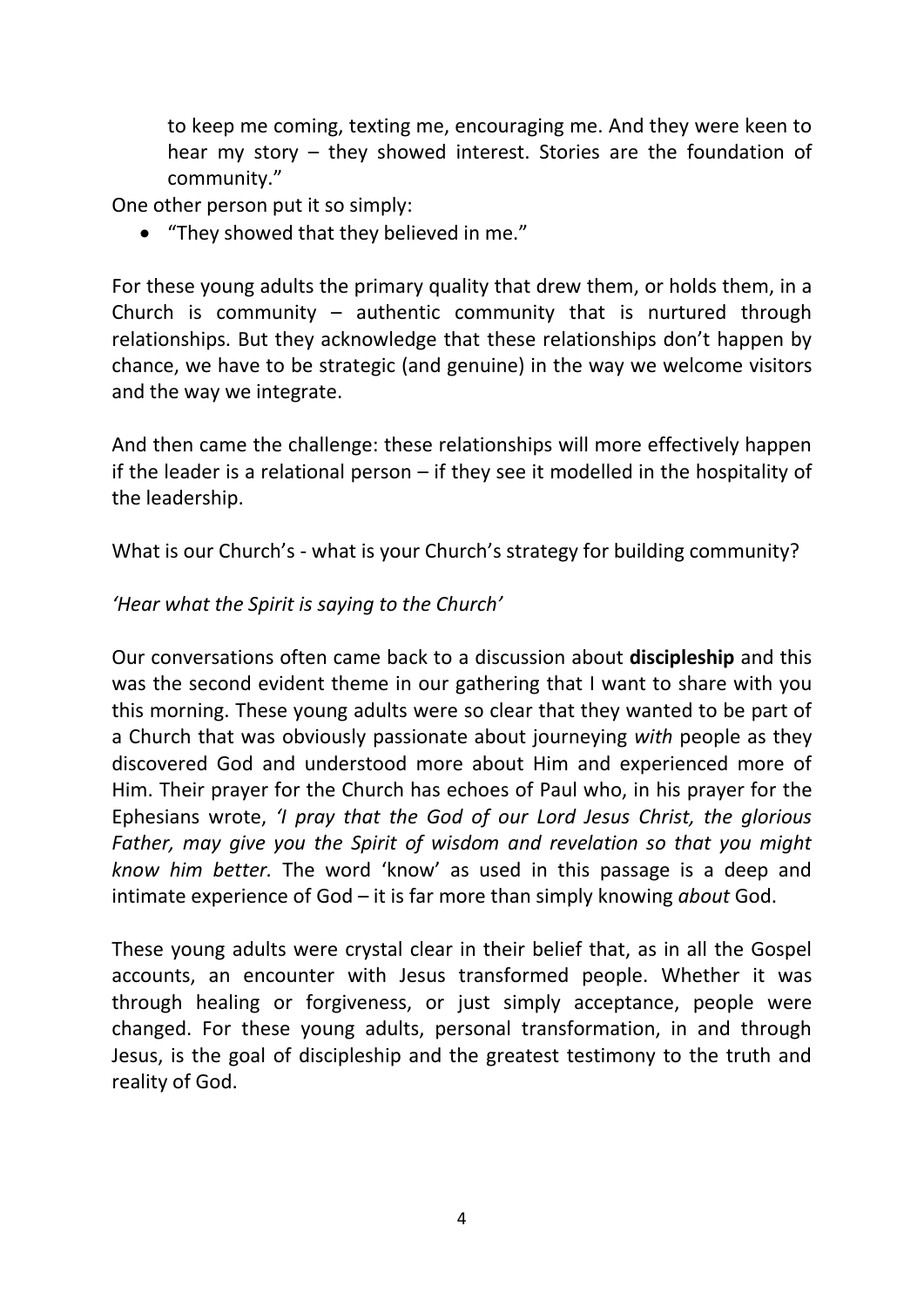to keep me coming, texting me, encouraging me. And they were keen to hear my story – they showed interest. Stories are the foundation of community."

One other person put it so simply:

"They showed that they believed in me."

For these young adults the primary quality that drew them, or holds them, in a Church is community  $-$  authentic community that is nurtured through relationships. But they acknowledge that these relationships don't happen by chance, we have to be strategic (and genuine) in the way we welcome visitors and the way we integrate.

And then came the challenge: these relationships will more effectively happen if the leader is a relational person – if they see it modelled in the hospitality of the leadership.

What is our Church's - what is your Church's strategy for building community?

### *'Hear what the Spirit is saying to the Church'*

Our conversations often came back to a discussion about **discipleship** and this was the second evident theme in our gathering that I want to share with you this morning. These young adults were so clear that they wanted to be part of a Church that was obviously passionate about journeying *with* people as they discovered God and understood more about Him and experienced more of Him. Their prayer for the Church has echoes of Paul who, in his prayer for the Ephesians wrote, *'I pray that the God of our Lord Jesus Christ, the glorious Father, may give you the Spirit of wisdom and revelation so that you might know him better.* The word 'know' as used in this passage is a deep and intimate experience of God – it is far more than simply knowing *about* God.

These young adults were crystal clear in their belief that, as in all the Gospel accounts, an encounter with Jesus transformed people. Whether it was through healing or forgiveness, or just simply acceptance, people were changed. For these young adults, personal transformation, in and through Jesus, is the goal of discipleship and the greatest testimony to the truth and reality of God.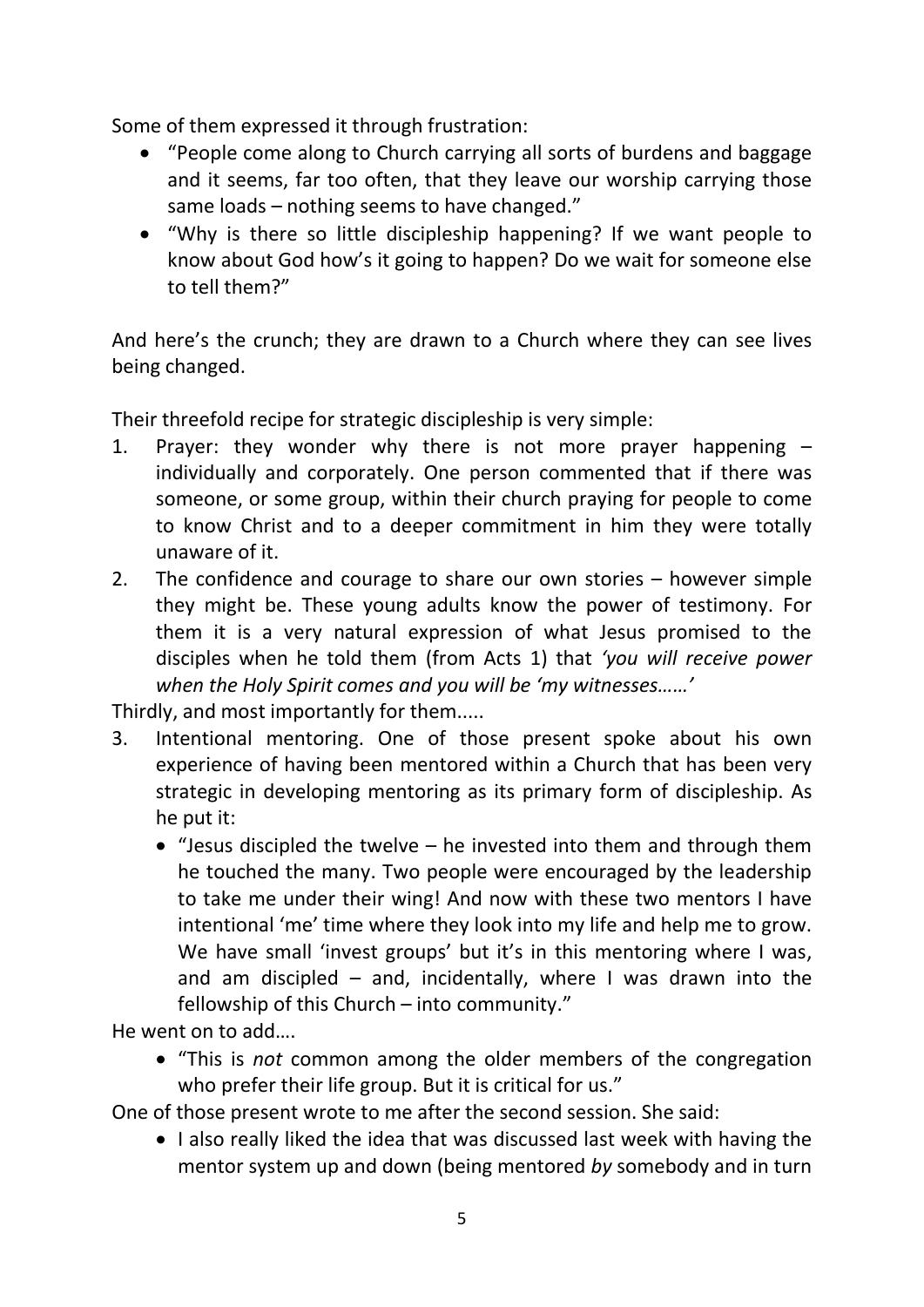Some of them expressed it through frustration:

- "People come along to Church carrying all sorts of burdens and baggage and it seems, far too often, that they leave our worship carrying those same loads – nothing seems to have changed."
- "Why is there so little discipleship happening? If we want people to know about God how's it going to happen? Do we wait for someone else to tell them?"

And here's the crunch; they are drawn to a Church where they can see lives being changed.

Their threefold recipe for strategic discipleship is very simple:

- 1. Prayer: they wonder why there is not more prayer happening individually and corporately. One person commented that if there was someone, or some group, within their church praying for people to come to know Christ and to a deeper commitment in him they were totally unaware of it.
- 2. The confidence and courage to share our own stories however simple they might be. These young adults know the power of testimony. For them it is a very natural expression of what Jesus promised to the disciples when he told them (from Acts 1) that *'you will receive power when the Holy Spirit comes and you will be 'my witnesses……'*

Thirdly, and most importantly for them.....

- 3. Intentional mentoring. One of those present spoke about his own experience of having been mentored within a Church that has been very strategic in developing mentoring as its primary form of discipleship. As he put it:
	- $\bullet$  "Jesus discipled the twelve he invested into them and through them he touched the many. Two people were encouraged by the leadership to take me under their wing! And now with these two mentors I have intentional 'me' time where they look into my life and help me to grow. We have small 'invest groups' but it's in this mentoring where I was, and am discipled  $-$  and, incidentally, where I was drawn into the fellowship of this Church – into community."

He went on to add….

 "This is *not* common among the older members of the congregation who prefer their life group. But it is critical for us."

One of those present wrote to me after the second session. She said:

• I also really liked the idea that was discussed last week with having the mentor system up and down (being mentored *by* somebody and in turn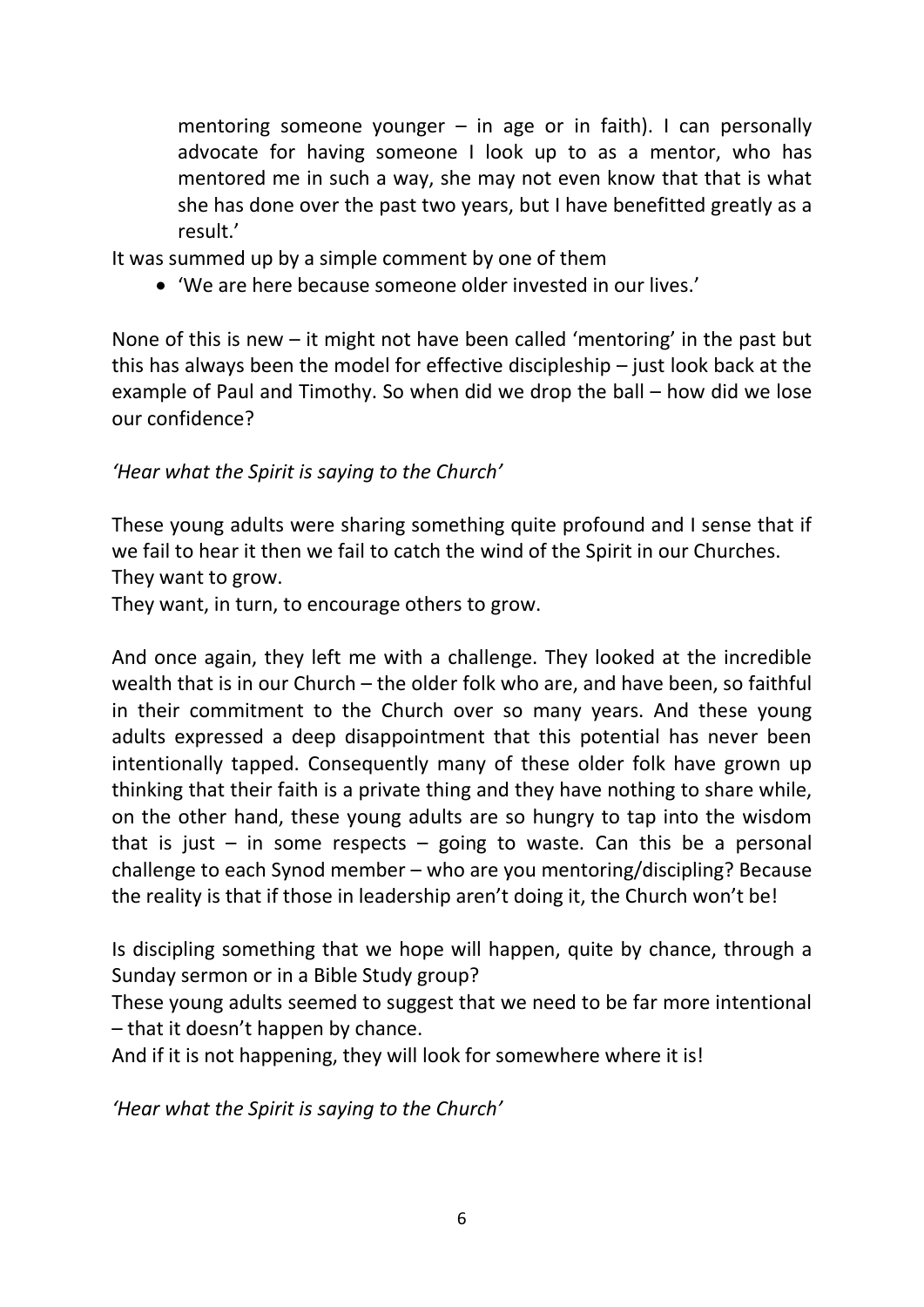mentoring someone younger  $-$  in age or in faith). I can personally advocate for having someone I look up to as a mentor, who has mentored me in such a way, she may not even know that that is what she has done over the past two years, but I have benefitted greatly as a result.'

It was summed up by a simple comment by one of them

'We are here because someone older invested in our lives.'

None of this is new – it might not have been called 'mentoring' in the past but this has always been the model for effective discipleship – just look back at the example of Paul and Timothy. So when did we drop the ball – how did we lose our confidence?

#### *'Hear what the Spirit is saying to the Church'*

These young adults were sharing something quite profound and I sense that if we fail to hear it then we fail to catch the wind of the Spirit in our Churches. They want to grow.

They want, in turn, to encourage others to grow.

And once again, they left me with a challenge. They looked at the incredible wealth that is in our Church – the older folk who are, and have been, so faithful in their commitment to the Church over so many years. And these young adults expressed a deep disappointment that this potential has never been intentionally tapped. Consequently many of these older folk have grown up thinking that their faith is a private thing and they have nothing to share while, on the other hand, these young adults are so hungry to tap into the wisdom that is just – in some respects – going to waste. Can this be a personal challenge to each Synod member – who are you mentoring/discipling? Because the reality is that if those in leadership aren't doing it, the Church won't be!

Is discipling something that we hope will happen, quite by chance, through a Sunday sermon or in a Bible Study group?

These young adults seemed to suggest that we need to be far more intentional – that it doesn't happen by chance.

And if it is not happening, they will look for somewhere where it is!

*'Hear what the Spirit is saying to the Church'*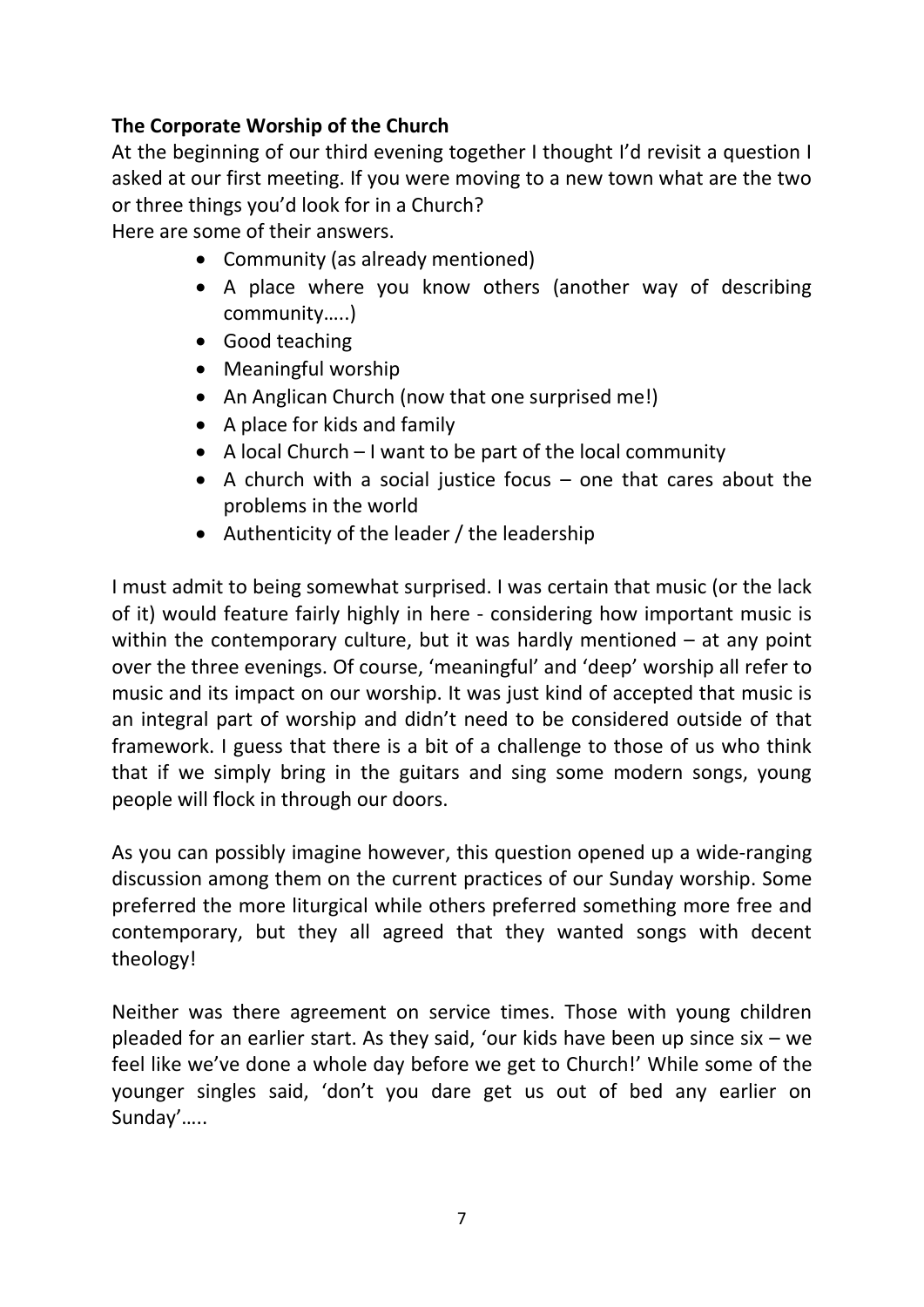### **The Corporate Worship of the Church**

At the beginning of our third evening together I thought I'd revisit a question I asked at our first meeting. If you were moving to a new town what are the two or three things you'd look for in a Church?

Here are some of their answers.

- Community (as already mentioned)
- A place where you know others (another way of describing community…..)
- Good teaching
- Meaningful worship
- An Anglican Church (now that one surprised me!)
- A place for kids and family
- A local Church I want to be part of the local community
- $\bullet$  A church with a social justice focus  $-$  one that cares about the problems in the world
- Authenticity of the leader / the leadership

I must admit to being somewhat surprised. I was certain that music (or the lack of it) would feature fairly highly in here - considering how important music is within the contemporary culture, but it was hardly mentioned  $-$  at any point over the three evenings. Of course, 'meaningful' and 'deep' worship all refer to music and its impact on our worship. It was just kind of accepted that music is an integral part of worship and didn't need to be considered outside of that framework. I guess that there is a bit of a challenge to those of us who think that if we simply bring in the guitars and sing some modern songs, young people will flock in through our doors.

As you can possibly imagine however, this question opened up a wide-ranging discussion among them on the current practices of our Sunday worship. Some preferred the more liturgical while others preferred something more free and contemporary, but they all agreed that they wanted songs with decent theology!

Neither was there agreement on service times. Those with young children pleaded for an earlier start. As they said, 'our kids have been up since six – we feel like we've done a whole day before we get to Church!' While some of the younger singles said, 'don't you dare get us out of bed any earlier on Sunday'…..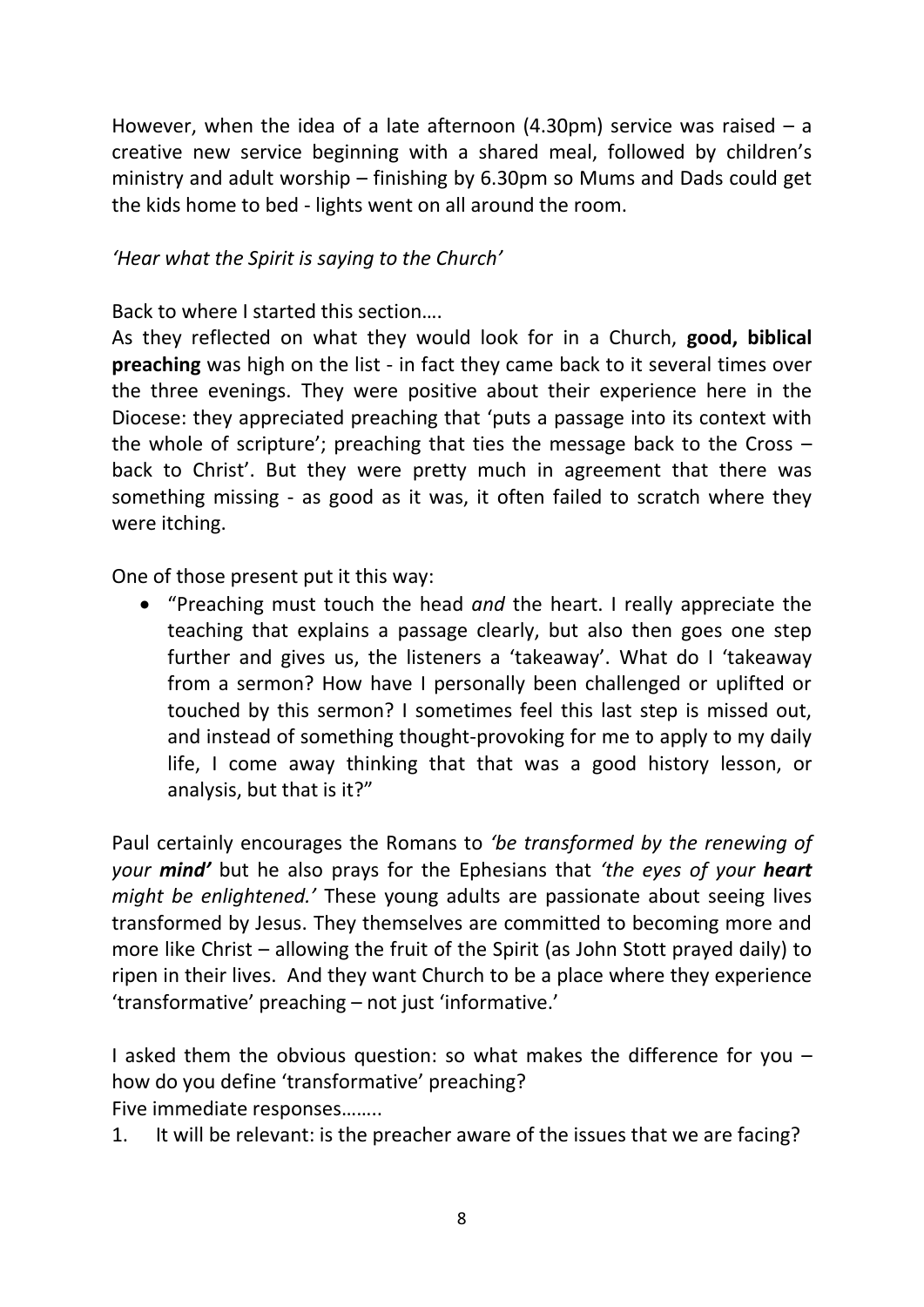However, when the idea of a late afternoon (4.30pm) service was raised  $-$  a creative new service beginning with a shared meal, followed by children's ministry and adult worship – finishing by 6.30pm so Mums and Dads could get the kids home to bed - lights went on all around the room.

#### *'Hear what the Spirit is saying to the Church'*

Back to where I started this section….

As they reflected on what they would look for in a Church, **good, biblical preaching** was high on the list - in fact they came back to it several times over the three evenings. They were positive about their experience here in the Diocese: they appreciated preaching that 'puts a passage into its context with the whole of scripture'; preaching that ties the message back to the Cross – back to Christ'. But they were pretty much in agreement that there was something missing - as good as it was, it often failed to scratch where they were itching.

One of those present put it this way:

 "Preaching must touch the head *and* the heart. I really appreciate the teaching that explains a passage clearly, but also then goes one step further and gives us, the listeners a 'takeaway'. What do I 'takeaway from a sermon? How have I personally been challenged or uplifted or touched by this sermon? I sometimes feel this last step is missed out, and instead of something thought-provoking for me to apply to my daily life, I come away thinking that that was a good history lesson, or analysis, but that is it?"

Paul certainly encourages the Romans to *'be transformed by the renewing of your mind'* but he also prays for the Ephesians that *'the eyes of your heart might be enlightened.'* These young adults are passionate about seeing lives transformed by Jesus. They themselves are committed to becoming more and more like Christ – allowing the fruit of the Spirit (as John Stott prayed daily) to ripen in their lives. And they want Church to be a place where they experience 'transformative' preaching – not just 'informative.'

I asked them the obvious question: so what makes the difference for you  $$ how do you define 'transformative' preaching? Five immediate responses……..

1. It will be relevant: is the preacher aware of the issues that we are facing?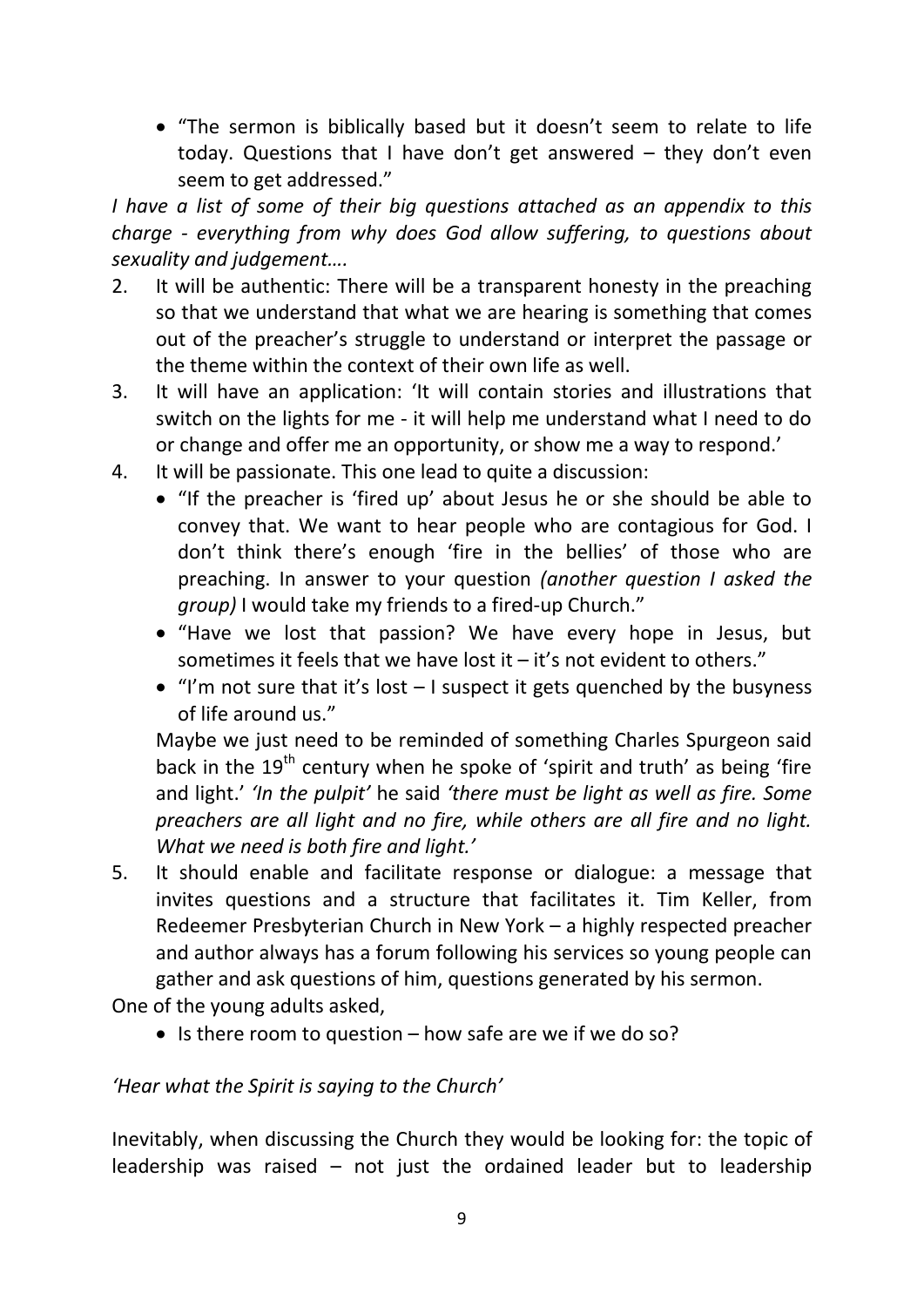"The sermon is biblically based but it doesn't seem to relate to life today. Questions that I have don't get answered – they don't even seem to get addressed."

*I have a list of some of their big questions attached as an appendix to this charge - everything from why does God allow suffering, to questions about sexuality and judgement….*

- 2. It will be authentic: There will be a transparent honesty in the preaching so that we understand that what we are hearing is something that comes out of the preacher's struggle to understand or interpret the passage or the theme within the context of their own life as well.
- 3. It will have an application: 'It will contain stories and illustrations that switch on the lights for me - it will help me understand what I need to do or change and offer me an opportunity, or show me a way to respond.'
- 4. It will be passionate. This one lead to quite a discussion:
	- "If the preacher is 'fired up' about Jesus he or she should be able to convey that. We want to hear people who are contagious for God. I don't think there's enough 'fire in the bellies' of those who are preaching. In answer to your question *(another question I asked the group*) I would take my friends to a fired-up Church."
	- "Have we lost that passion? We have every hope in Jesus, but sometimes it feels that we have lost it – it's not evident to others."
	- $\bullet$  "I'm not sure that it's lost  $-1$  suspect it gets quenched by the busyness of life around us."

Maybe we just need to be reminded of something Charles Spurgeon said back in the 19<sup>th</sup> century when he spoke of 'spirit and truth' as being 'fire and light.' *'In the pulpit'* he said *'there must be light as well as fire. Some preachers are all light and no fire, while others are all fire and no light. What we need is both fire and light.'*

5. It should enable and facilitate response or dialogue: a message that invites questions and a structure that facilitates it. Tim Keller, from Redeemer Presbyterian Church in New York – a highly respected preacher and author always has a forum following his services so young people can gather and ask questions of him, questions generated by his sermon.

One of the young adults asked,

 $\bullet$  Is there room to question – how safe are we if we do so?

### *'Hear what the Spirit is saying to the Church'*

Inevitably, when discussing the Church they would be looking for: the topic of leadership was raised  $-$  not just the ordained leader but to leadership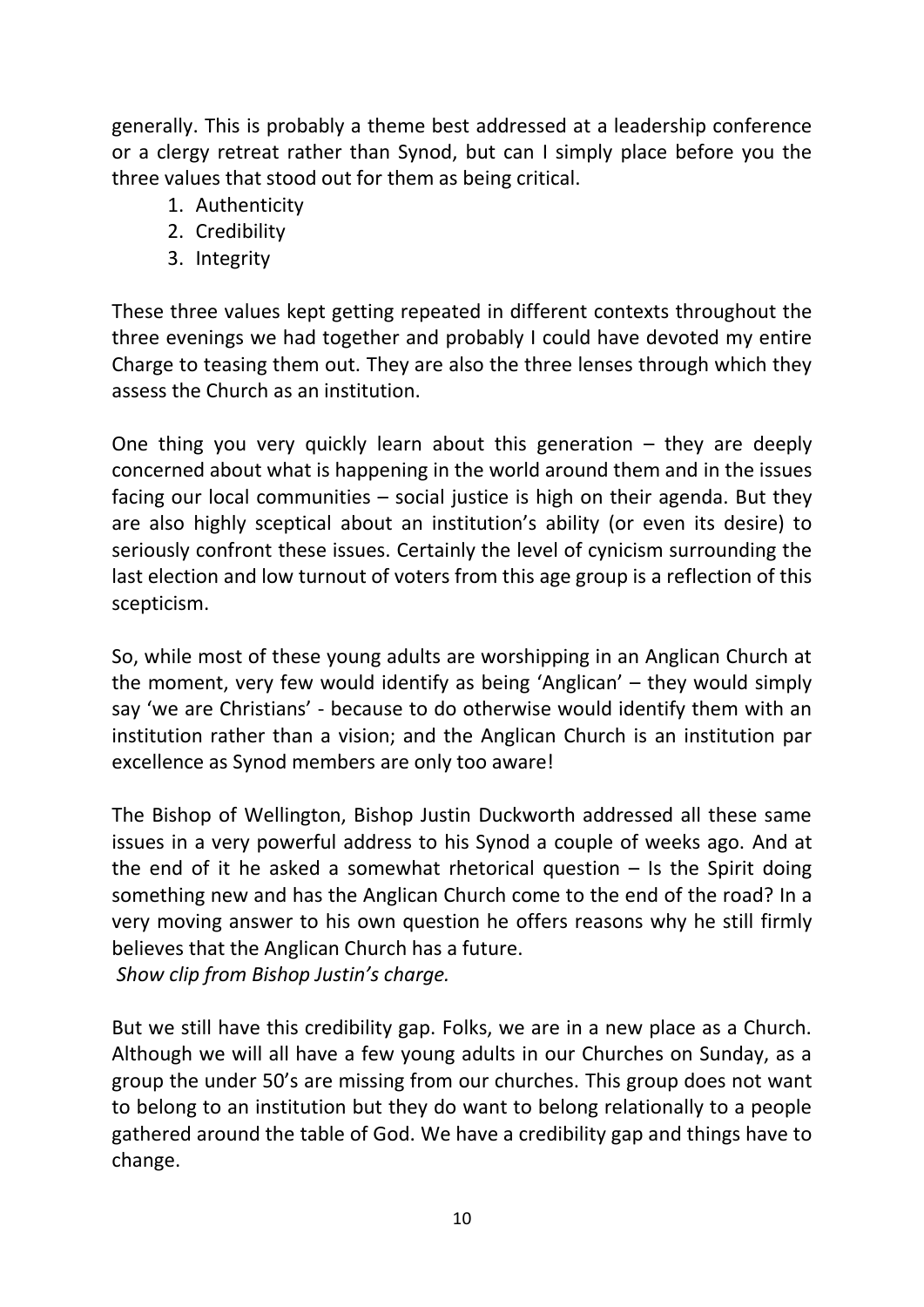generally. This is probably a theme best addressed at a leadership conference or a clergy retreat rather than Synod, but can I simply place before you the three values that stood out for them as being critical.

- 1. Authenticity
- 2. Credibility
- 3. Integrity

These three values kept getting repeated in different contexts throughout the three evenings we had together and probably I could have devoted my entire Charge to teasing them out. They are also the three lenses through which they assess the Church as an institution.

One thing you very quickly learn about this generation  $-$  they are deeply concerned about what is happening in the world around them and in the issues facing our local communities – social justice is high on their agenda. But they are also highly sceptical about an institution's ability (or even its desire) to seriously confront these issues. Certainly the level of cynicism surrounding the last election and low turnout of voters from this age group is a reflection of this scepticism.

So, while most of these young adults are worshipping in an Anglican Church at the moment, very few would identify as being 'Anglican' – they would simply say 'we are Christians' - because to do otherwise would identify them with an institution rather than a vision; and the Anglican Church is an institution par excellence as Synod members are only too aware!

The Bishop of Wellington, Bishop Justin Duckworth addressed all these same issues in a very powerful address to his Synod a couple of weeks ago. And at the end of it he asked a somewhat rhetorical question  $-$  Is the Spirit doing something new and has the Anglican Church come to the end of the road? In a very moving answer to his own question he offers reasons why he still firmly believes that the Anglican Church has a future. *Show clip from Bishop Justin's charge.*

But we still have this credibility gap. Folks, we are in a new place as a Church. Although we will all have a few young adults in our Churches on Sunday, as a group the under 50's are missing from our churches. This group does not want to belong to an institution but they do want to belong relationally to a people gathered around the table of God. We have a credibility gap and things have to change.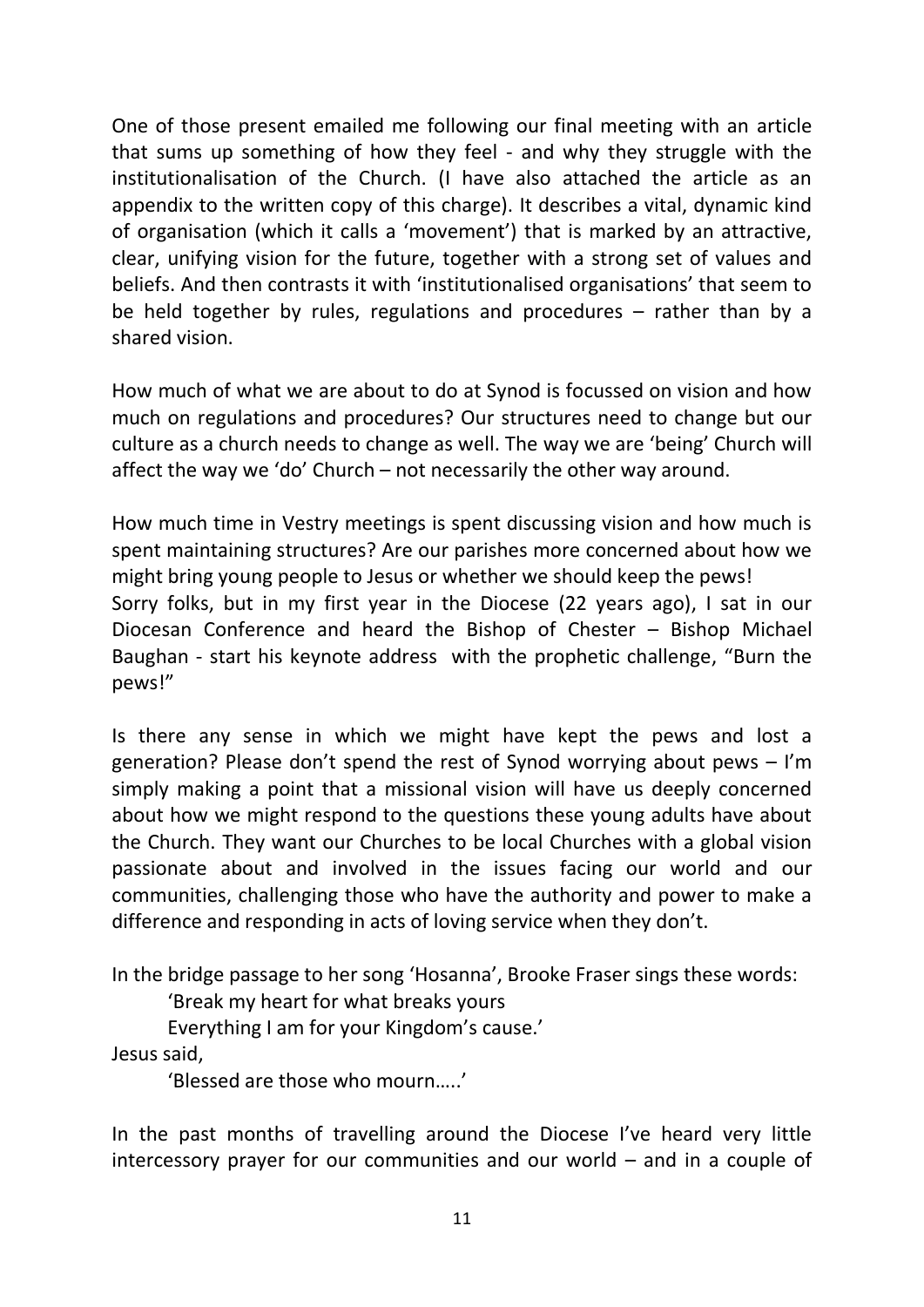One of those present emailed me following our final meeting with an article that sums up something of how they feel - and why they struggle with the institutionalisation of the Church. (I have also attached the article as an appendix to the written copy of this charge). It describes a vital, dynamic kind of organisation (which it calls a 'movement') that is marked by an attractive, clear, unifying vision for the future, together with a strong set of values and beliefs. And then contrasts it with 'institutionalised organisations' that seem to be held together by rules, regulations and procedures – rather than by a shared vision.

How much of what we are about to do at Synod is focussed on vision and how much on regulations and procedures? Our structures need to change but our culture as a church needs to change as well. The way we are 'being' Church will affect the way we 'do' Church – not necessarily the other way around.

How much time in Vestry meetings is spent discussing vision and how much is spent maintaining structures? Are our parishes more concerned about how we might bring young people to Jesus or whether we should keep the pews! Sorry folks, but in my first year in the Diocese (22 years ago), I sat in our Diocesan Conference and heard the Bishop of Chester – Bishop Michael Baughan - start his keynote address with the prophetic challenge, "Burn the pews!"

Is there any sense in which we might have kept the pews and lost a generation? Please don't spend the rest of Synod worrying about pews – I'm simply making a point that a missional vision will have us deeply concerned about how we might respond to the questions these young adults have about the Church. They want our Churches to be local Churches with a global vision passionate about and involved in the issues facing our world and our communities, challenging those who have the authority and power to make a difference and responding in acts of loving service when they don't.

In the bridge passage to her song 'Hosanna', Brooke Fraser sings these words:

'Break my heart for what breaks yours

Everything I am for your Kingdom's cause.'

Jesus said,

'Blessed are those who mourn…..'

In the past months of travelling around the Diocese I've heard very little intercessory prayer for our communities and our world – and in a couple of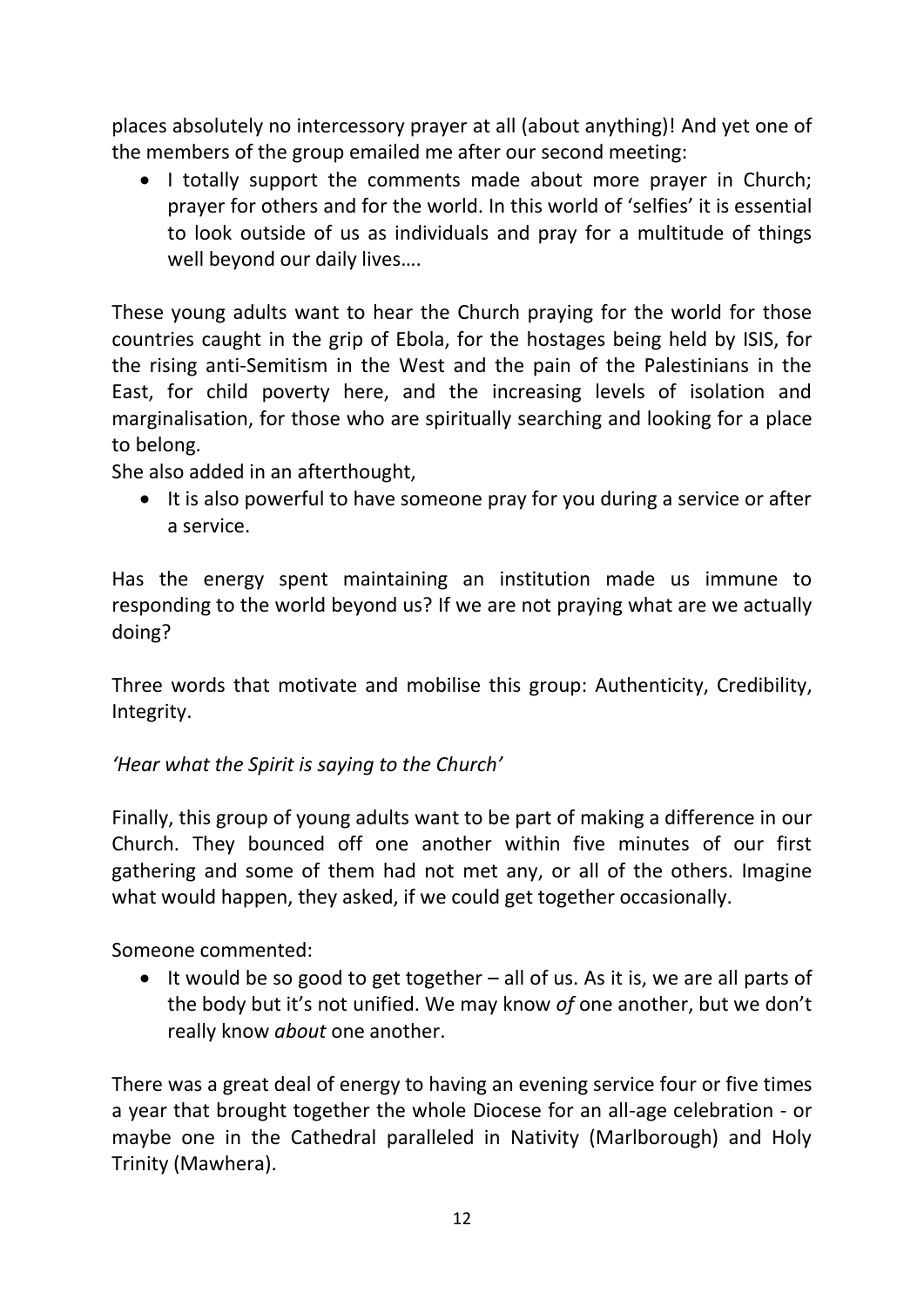places absolutely no intercessory prayer at all (about anything)! And yet one of the members of the group emailed me after our second meeting:

• I totally support the comments made about more prayer in Church: prayer for others and for the world. In this world of 'selfies' it is essential to look outside of us as individuals and pray for a multitude of things well beyond our daily lives….

These young adults want to hear the Church praying for the world for those countries caught in the grip of Ebola, for the hostages being held by ISIS, for the rising anti-Semitism in the West and the pain of the Palestinians in the East, for child poverty here, and the increasing levels of isolation and marginalisation, for those who are spiritually searching and looking for a place to belong.

She also added in an afterthought,

• It is also powerful to have someone pray for you during a service or after a service.

Has the energy spent maintaining an institution made us immune to responding to the world beyond us? If we are not praying what are we actually doing?

Three words that motivate and mobilise this group: Authenticity, Credibility, Integrity.

### *'Hear what the Spirit is saying to the Church'*

Finally, this group of young adults want to be part of making a difference in our Church. They bounced off one another within five minutes of our first gathering and some of them had not met any, or all of the others. Imagine what would happen, they asked, if we could get together occasionally.

Someone commented:

 $\bullet$  It would be so good to get together – all of us. As it is, we are all parts of the body but it's not unified. We may know *of* one another, but we don't really know *about* one another.

There was a great deal of energy to having an evening service four or five times a year that brought together the whole Diocese for an all-age celebration - or maybe one in the Cathedral paralleled in Nativity (Marlborough) and Holy Trinity (Mawhera).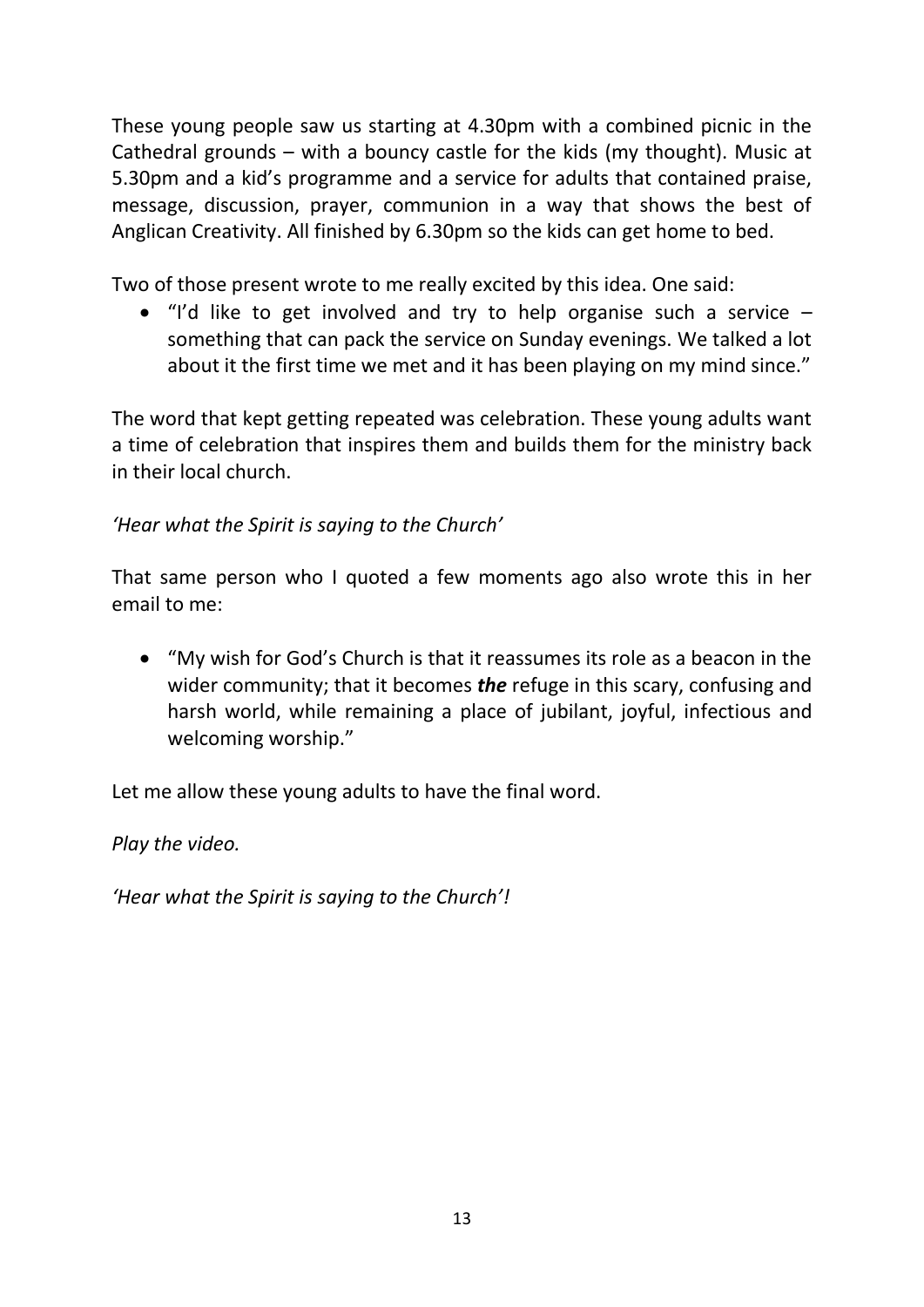These young people saw us starting at 4.30pm with a combined picnic in the Cathedral grounds – with a bouncy castle for the kids (my thought). Music at 5.30pm and a kid's programme and a service for adults that contained praise, message, discussion, prayer, communion in a way that shows the best of Anglican Creativity. All finished by 6.30pm so the kids can get home to bed.

Two of those present wrote to me really excited by this idea. One said:

 $\bullet$  "I'd like to get involved and try to help organise such a service  $$ something that can pack the service on Sunday evenings. We talked a lot about it the first time we met and it has been playing on my mind since."

The word that kept getting repeated was celebration. These young adults want a time of celebration that inspires them and builds them for the ministry back in their local church.

### *'Hear what the Spirit is saying to the Church'*

That same person who I quoted a few moments ago also wrote this in her email to me:

 "My wish for God's Church is that it reassumes its role as a beacon in the wider community; that it becomes *the* refuge in this scary, confusing and harsh world, while remaining a place of jubilant, joyful, infectious and welcoming worship."

Let me allow these young adults to have the final word.

*Play the video.*

*'Hear what the Spirit is saying to the Church'!*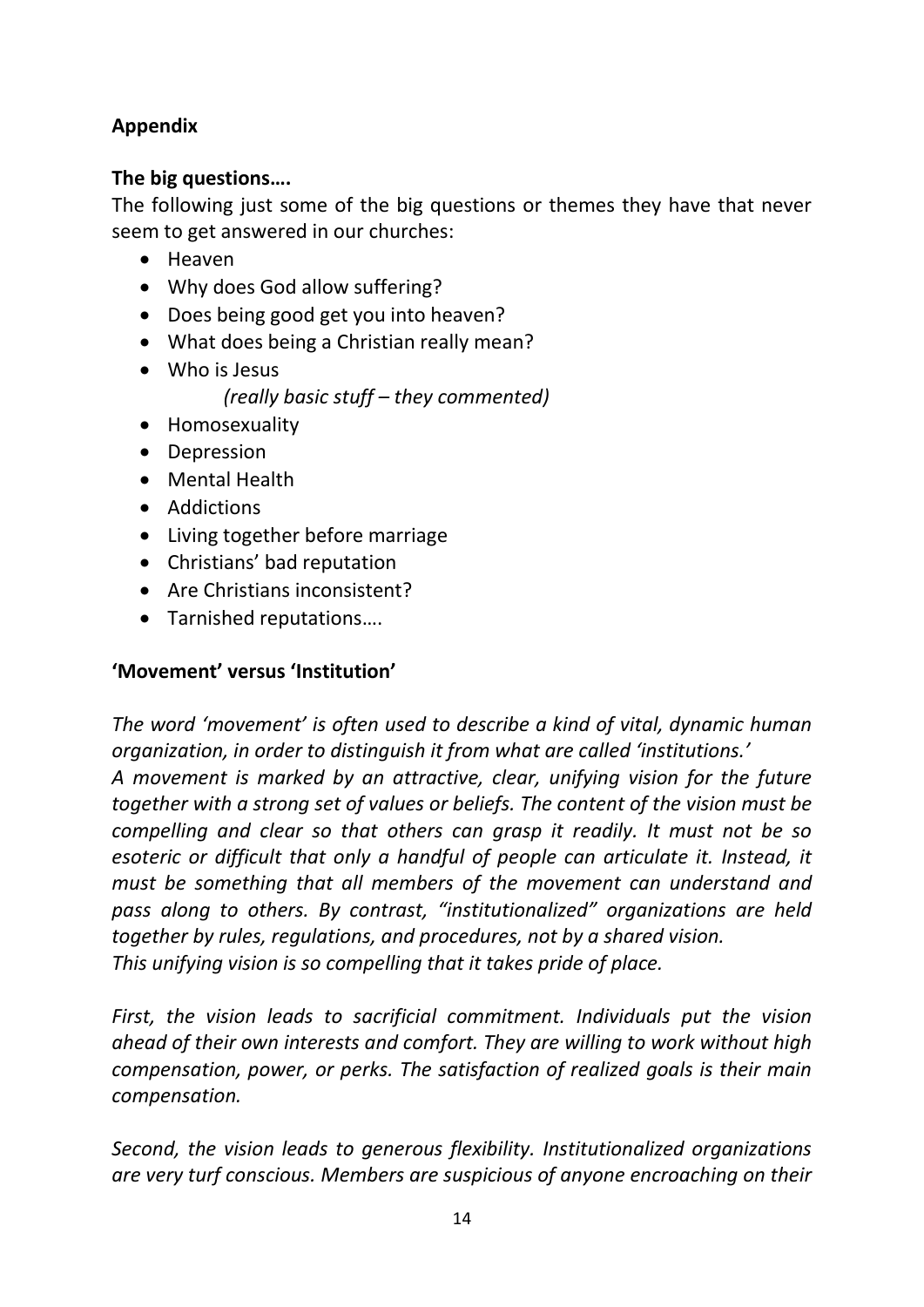# **Appendix**

### **The big questions….**

The following just some of the big questions or themes they have that never seem to get answered in our churches:

- Heaven
- Why does God allow suffering?
- Does being good get you into heaven?
- What does being a Christian really mean?
- Who is Jesus

*(really basic stuff – they commented)*

- Homosexuality
- Depression
- Mental Health
- Addictions
- Living together before marriage
- Christians' bad reputation
- Are Christians inconsistent?
- Tarnished reputations....

# **'Movement' versus 'Institution'**

*The word 'movement' is often used to describe a kind of vital, dynamic human organization, in order to distinguish it from what are called 'institutions.' A movement is marked by an attractive, clear, unifying vision for the future together with a strong set of values or beliefs. The content of the vision must be compelling and clear so that others can grasp it readily. It must not be so esoteric or difficult that only a handful of people can articulate it. Instead, it must be something that all members of the movement can understand and pass along to others. By contrast, "institutionalized" organizations are held together by rules, regulations, and procedures, not by a shared vision. This unifying vision is so compelling that it takes pride of place.* 

*First, the vision leads to sacrificial commitment. Individuals put the vision ahead of their own interests and comfort. They are willing to work without high compensation, power, or perks. The satisfaction of realized goals is their main compensation.* 

*Second, the vision leads to generous flexibility. Institutionalized organizations are very turf conscious. Members are suspicious of anyone encroaching on their*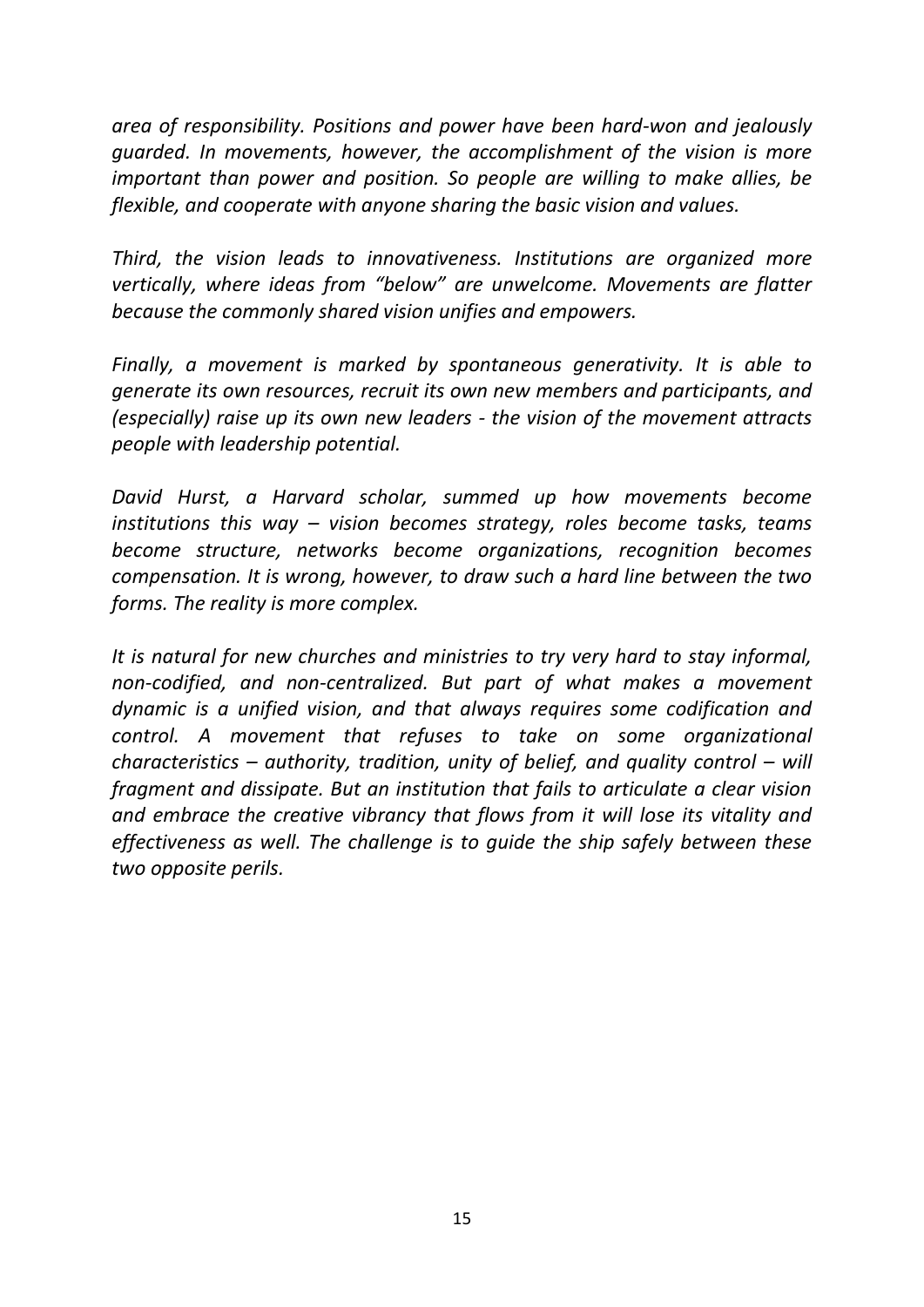*area of responsibility. Positions and power have been hard-won and jealously guarded. In movements, however, the accomplishment of the vision is more important than power and position. So people are willing to make allies, be flexible, and cooperate with anyone sharing the basic vision and values.*

*Third, the vision leads to innovativeness. Institutions are organized more vertically, where ideas from "below" are unwelcome. Movements are flatter because the commonly shared vision unifies and empowers.* 

*Finally, a movement is marked by spontaneous generativity. It is able to generate its own resources, recruit its own new members and participants, and (especially) raise up its own new leaders - the vision of the movement attracts people with leadership potential.* 

*David Hurst, a Harvard scholar, summed up how movements become institutions this way – vision becomes strategy, roles become tasks, teams become structure, networks become organizations, recognition becomes compensation. It is wrong, however, to draw such a hard line between the two forms. The reality is more complex.*

*It is natural for new churches and ministries to try very hard to stay informal, non-codified, and non-centralized. But part of what makes a movement dynamic is a unified vision, and that always requires some codification and control. A movement that refuses to take on some organizational characteristics – authority, tradition, unity of belief, and quality control – will fragment and dissipate. But an institution that fails to articulate a clear vision and embrace the creative vibrancy that flows from it will lose its vitality and effectiveness as well. The challenge is to guide the ship safely between these two opposite perils.*